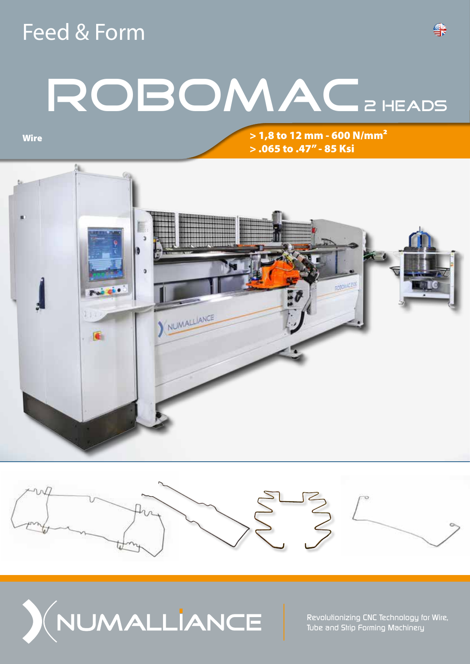## Feed & Form

# ROBOMAC 2 HEADS

**Wire** 

> 1,8 to 12 mm - 600 N/mm² > .065 to .47'' - 85 Ksi







*Revolutionizing CNC Technology for Wire, Tube and Strip Forming Machinery*